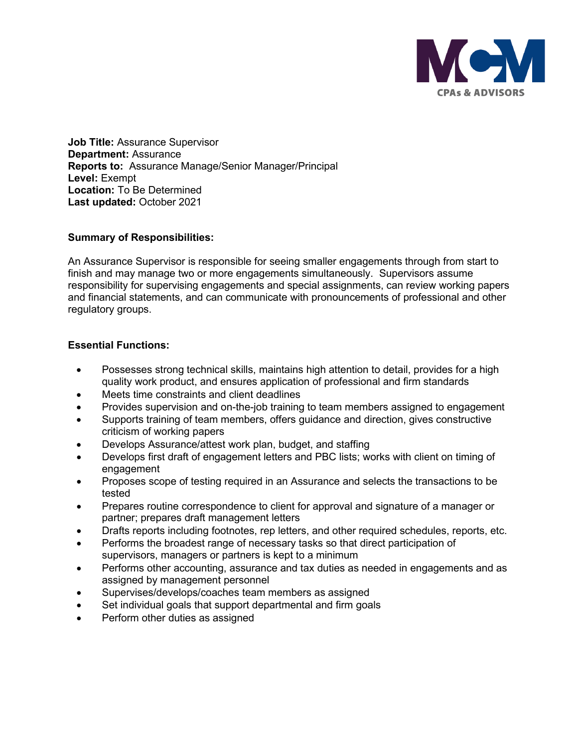

**Job Title:** Assurance Supervisor **Department:** Assurance **Reports to:** Assurance Manage/Senior Manager/Principal **Level:** Exempt **Location:** To Be Determined **Last updated:** October 2021

# **Summary of Responsibilities:**

An Assurance Supervisor is responsible for seeing smaller engagements through from start to finish and may manage two or more engagements simultaneously. Supervisors assume responsibility for supervising engagements and special assignments, can review working papers and financial statements, and can communicate with pronouncements of professional and other regulatory groups.

# **Essential Functions:**

- Possesses strong technical skills, maintains high attention to detail, provides for a high quality work product, and ensures application of professional and firm standards
- Meets time constraints and client deadlines
- Provides supervision and on-the-job training to team members assigned to engagement
- Supports training of team members, offers guidance and direction, gives constructive criticism of working papers
- Develops Assurance/attest work plan, budget, and staffing
- Develops first draft of engagement letters and PBC lists; works with client on timing of engagement
- Proposes scope of testing required in an Assurance and selects the transactions to be tested
- Prepares routine correspondence to client for approval and signature of a manager or partner; prepares draft management letters
- Drafts reports including footnotes, rep letters, and other required schedules, reports, etc.
- Performs the broadest range of necessary tasks so that direct participation of supervisors, managers or partners is kept to a minimum
- Performs other accounting, assurance and tax duties as needed in engagements and as assigned by management personnel
- Supervises/develops/coaches team members as assigned
- Set individual goals that support departmental and firm goals
- Perform other duties as assigned